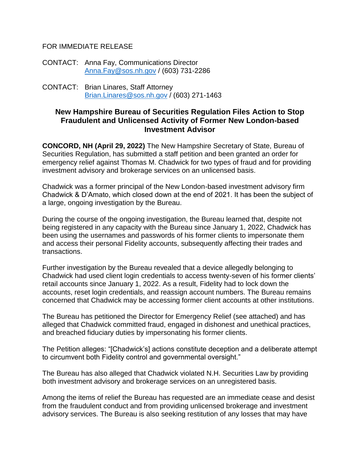## FOR IMMEDIATE RELEASE

CONTACT: Anna Fay, Communications Director [Anna.Fay@sos.nh.gov](mailto:Anna.Fay@sos.nh.gov) / (603) 731-2286

CONTACT: Brian Linares, Staff Attorney [Brian.Linares@sos.nh.gov](mailto:Brian.Linares@sos.nh.gov) / (603) 271-1463

## **New Hampshire Bureau of Securities Regulation Files Action to Stop Fraudulent and Unlicensed Activity of Former New London-based Investment Advisor**

**CONCORD, NH (April 29, 2022)** The New Hampshire Secretary of State, Bureau of Securities Regulation, has submitted a staff petition and been granted an order for emergency relief against Thomas M. Chadwick for two types of fraud and for providing investment advisory and brokerage services on an unlicensed basis.

Chadwick was a former principal of the New London-based investment advisory firm Chadwick & D'Amato, which closed down at the end of 2021. It has been the subject of a large, ongoing investigation by the Bureau.

During the course of the ongoing investigation, the Bureau learned that, despite not being registered in any capacity with the Bureau since January 1, 2022, Chadwick has been using the usernames and passwords of his former clients to impersonate them and access their personal Fidelity accounts, subsequently affecting their trades and transactions.

Further investigation by the Bureau revealed that a device allegedly belonging to Chadwick had used client login credentials to access twenty-seven of his former clients' retail accounts since January 1, 2022. As a result, Fidelity had to lock down the accounts, reset login credentials, and reassign account numbers. The Bureau remains concerned that Chadwick may be accessing former client accounts at other institutions.

The Bureau has petitioned the Director for Emergency Relief (see attached) and has alleged that Chadwick committed fraud, engaged in dishonest and unethical practices, and breached fiduciary duties by impersonating his former clients.

The Petition alleges: "[Chadwick's] actions constitute deception and a deliberate attempt to circumvent both Fidelity control and governmental oversight."

The Bureau has also alleged that Chadwick violated N.H. Securities Law by providing both investment advisory and brokerage services on an unregistered basis.

Among the items of relief the Bureau has requested are an immediate cease and desist from the fraudulent conduct and from providing unlicensed brokerage and investment advisory services. The Bureau is also seeking restitution of any losses that may have